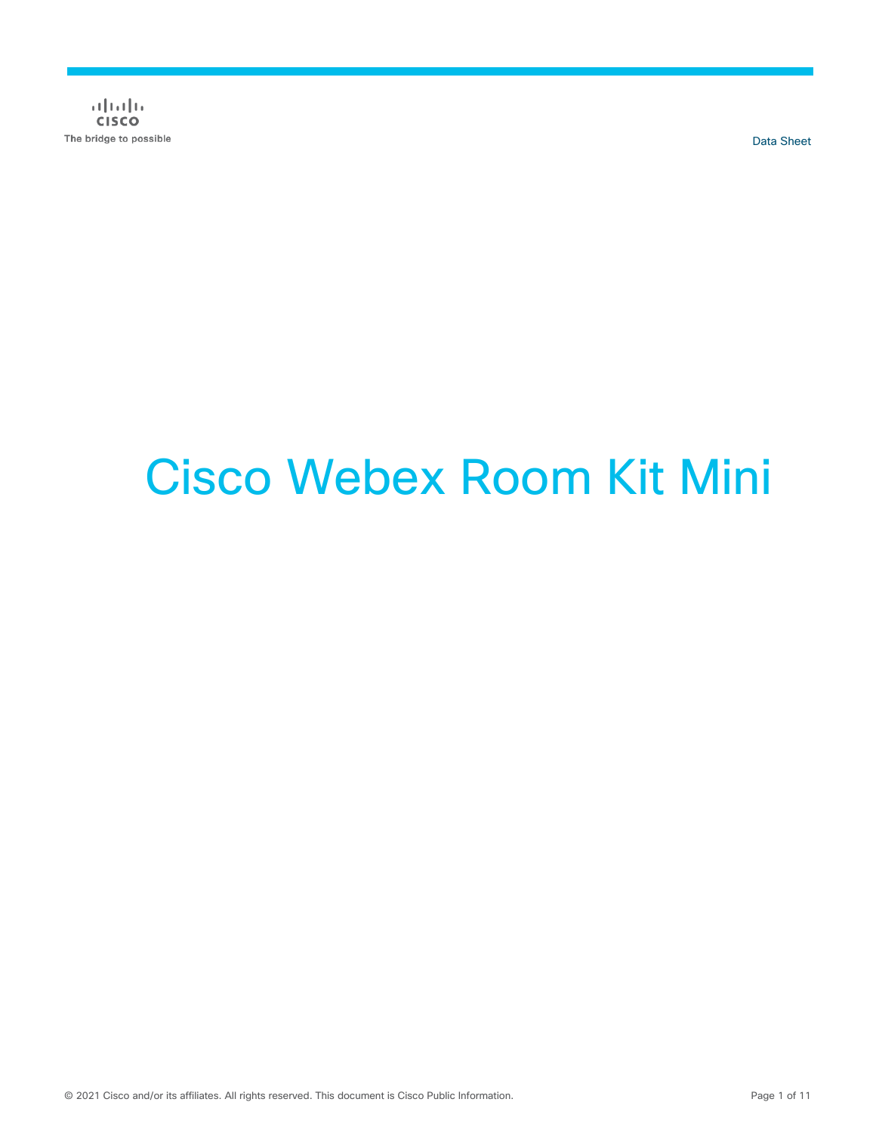$(1)$   $(1)$   $(1)$ **CISCO** The bridge to possible

Data Sheet

# Cisco Webex Room Kit Mini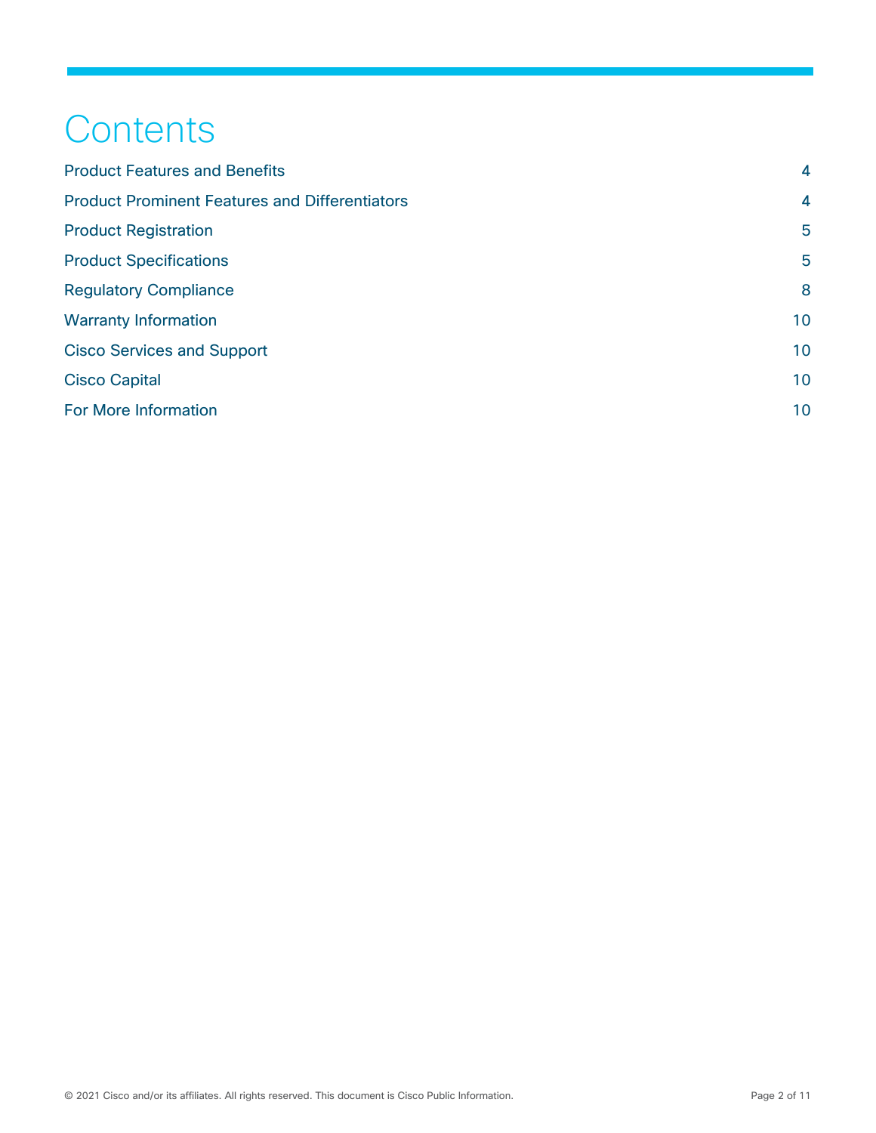## **Contents**

| <b>Product Features and Benefits</b>                  | $\overline{4}$ |
|-------------------------------------------------------|----------------|
| <b>Product Prominent Features and Differentiators</b> | $\overline{4}$ |
| <b>Product Registration</b>                           | 5              |
| <b>Product Specifications</b>                         | 5              |
| <b>Regulatory Compliance</b>                          | 8              |
| <b>Warranty Information</b>                           | 10             |
| <b>Cisco Services and Support</b>                     | 10             |
| <b>Cisco Capital</b>                                  | 10             |
| For More Information                                  | 10             |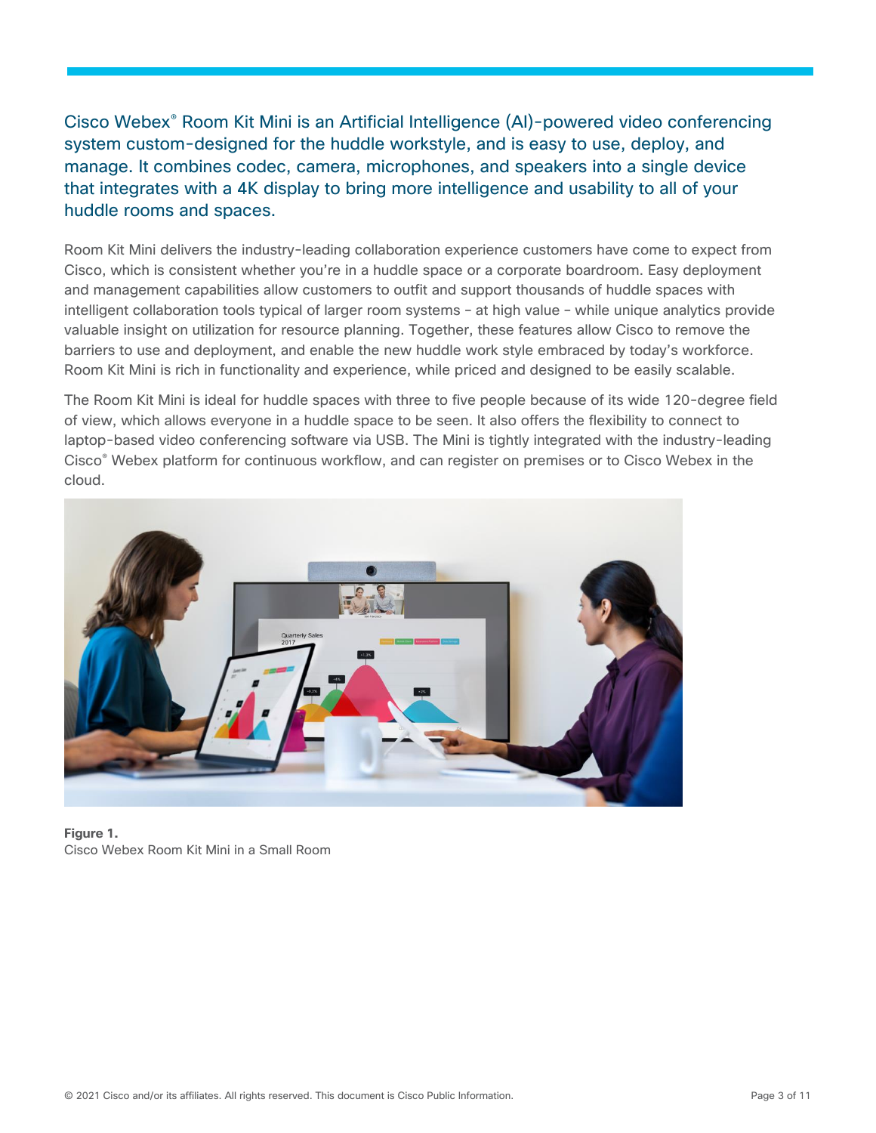Cisco Webex® Room Kit Mini is an Artificial Intelligence (AI)-powered video conferencing system custom-designed for the huddle workstyle, and is easy to use, deploy, and manage. It combines codec, camera, microphones, and speakers into a single device that integrates with a 4K display to bring more intelligence and usability to all of your huddle rooms and spaces.

Room Kit Mini delivers the industry-leading collaboration experience customers have come to expect from Cisco, which is consistent whether you're in a huddle space or a corporate boardroom. Easy deployment and management capabilities allow customers to outfit and support thousands of huddle spaces with intelligent collaboration tools typical of larger room systems – at high value – while unique analytics provide valuable insight on utilization for resource planning. Together, these features allow Cisco to remove the barriers to use and deployment, and enable the new huddle work style embraced by today's workforce. Room Kit Mini is rich in functionality and experience, while priced and designed to be easily scalable.

The Room Kit Mini is ideal for huddle spaces with three to five people because of its wide 120-degree field of view, which allows everyone in a huddle space to be seen. It also offers the flexibility to connect to laptop-based video conferencing software via USB. The Mini is tightly integrated with the industry-leading Cisco® Webex platform for continuous workflow, and can register on premises or to Cisco Webex in the cloud.



**Figure 1.**  Cisco Webex Room Kit Mini in a Small Room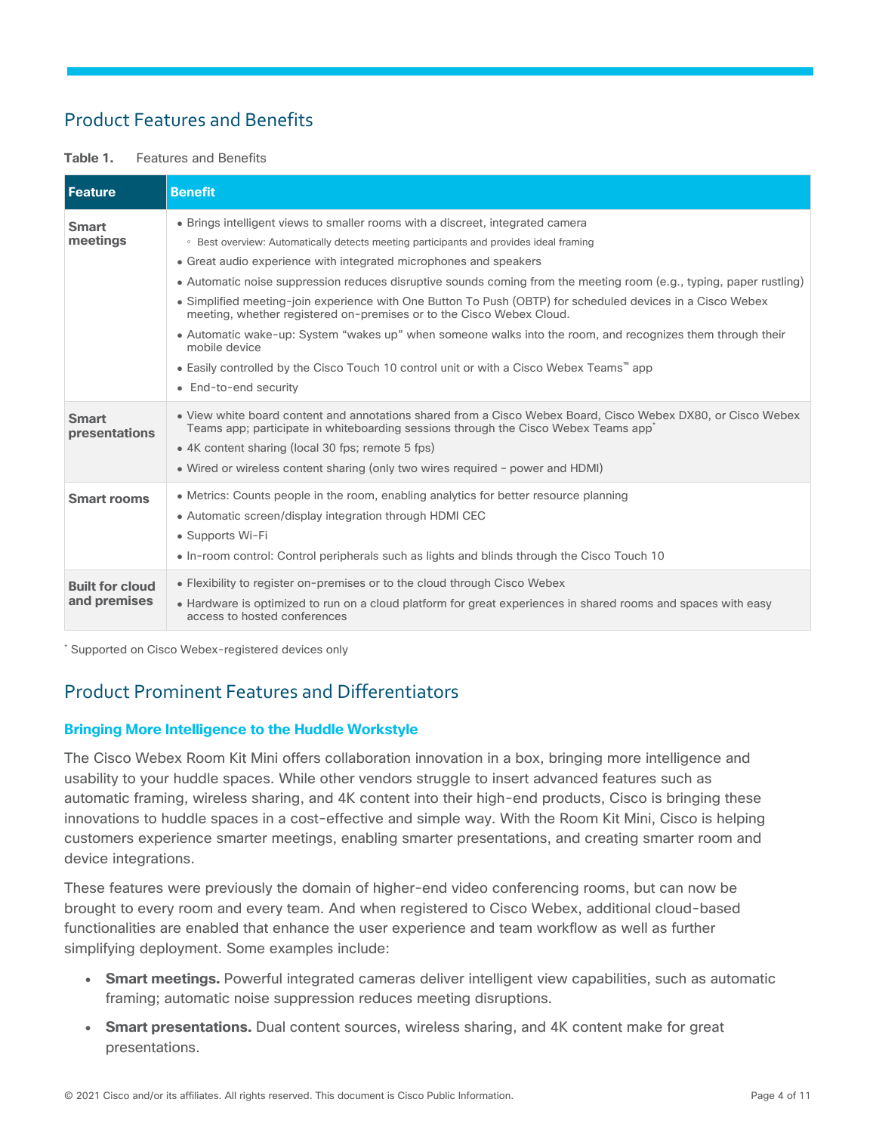## <span id="page-3-0"></span>Product Features and Benefits

#### **Table 1.** Features and Benefits

| <b>Feature</b>                         | <b>Benefit</b>                                                                                                                                                                                                                                                                                                                                                                                                                                                                                                                                                                                                                                                                                                                                                                                                |
|----------------------------------------|---------------------------------------------------------------------------------------------------------------------------------------------------------------------------------------------------------------------------------------------------------------------------------------------------------------------------------------------------------------------------------------------------------------------------------------------------------------------------------------------------------------------------------------------------------------------------------------------------------------------------------------------------------------------------------------------------------------------------------------------------------------------------------------------------------------|
| <b>Smart</b><br>meetings               | • Brings intelligent views to smaller rooms with a discreet, integrated camera<br>○ Best overview: Automatically detects meeting participants and provides ideal framing<br>• Great audio experience with integrated microphones and speakers<br>• Automatic noise suppression reduces disruptive sounds coming from the meeting room (e.g., typing, paper rustling)<br>• Simplified meeting-join experience with One Button To Push (OBTP) for scheduled devices in a Cisco Webex<br>meeting, whether registered on-premises or to the Cisco Webex Cloud.<br>• Automatic wake-up: System "wakes up" when someone walks into the room, and recognizes them through their<br>mobile device<br>• Easily controlled by the Cisco Touch 10 control unit or with a Cisco Webex Teams™ app<br>• End-to-end security |
| <b>Smart</b><br>presentations          | • View white board content and annotations shared from a Cisco Webex Board, Cisco Webex DX80, or Cisco Webex<br>Teams app; participate in whiteboarding sessions through the Cisco Webex Teams app <sup>*</sup><br>• 4K content sharing (local 30 fps; remote 5 fps)<br>• Wired or wireless content sharing (only two wires required - power and HDMI)                                                                                                                                                                                                                                                                                                                                                                                                                                                        |
| <b>Smart rooms</b>                     | • Metrics: Counts people in the room, enabling analytics for better resource planning<br>• Automatic screen/display integration through HDMI CEC<br>• Supports Wi-Fi<br>• In-room control: Control peripherals such as lights and blinds through the Cisco Touch 10                                                                                                                                                                                                                                                                                                                                                                                                                                                                                                                                           |
| <b>Built for cloud</b><br>and premises | • Flexibility to register on-premises or to the cloud through Cisco Webex<br>• Hardware is optimized to run on a cloud platform for great experiences in shared rooms and spaces with easy<br>access to hosted conferences                                                                                                                                                                                                                                                                                                                                                                                                                                                                                                                                                                                    |

\* Supported on Cisco Webex-registered devices only

## <span id="page-3-1"></span>Product Prominent Features and Differentiators

#### **Bringing More Intelligence to the Huddle Workstyle**

The Cisco Webex Room Kit Mini offers collaboration innovation in a box, bringing more intelligence and usability to your huddle spaces. While other vendors struggle to insert advanced features such as automatic framing, wireless sharing, and 4K content into their high-end products, Cisco is bringing these innovations to huddle spaces in a cost-effective and simple way. With the Room Kit Mini, Cisco is helping customers experience smarter meetings, enabling smarter presentations, and creating smarter room and device integrations.

These features were previously the domain of higher-end video conferencing rooms, but can now be brought to every room and every team. And when registered to Cisco Webex, additional cloud-based functionalities are enabled that enhance the user experience and team workflow as well as further simplifying deployment. Some examples include:

- **Smart meetings.** Powerful integrated cameras deliver intelligent view capabilities, such as automatic framing; automatic noise suppression reduces meeting disruptions.
- **Smart presentations.** Dual content sources, wireless sharing, and 4K content make for great presentations.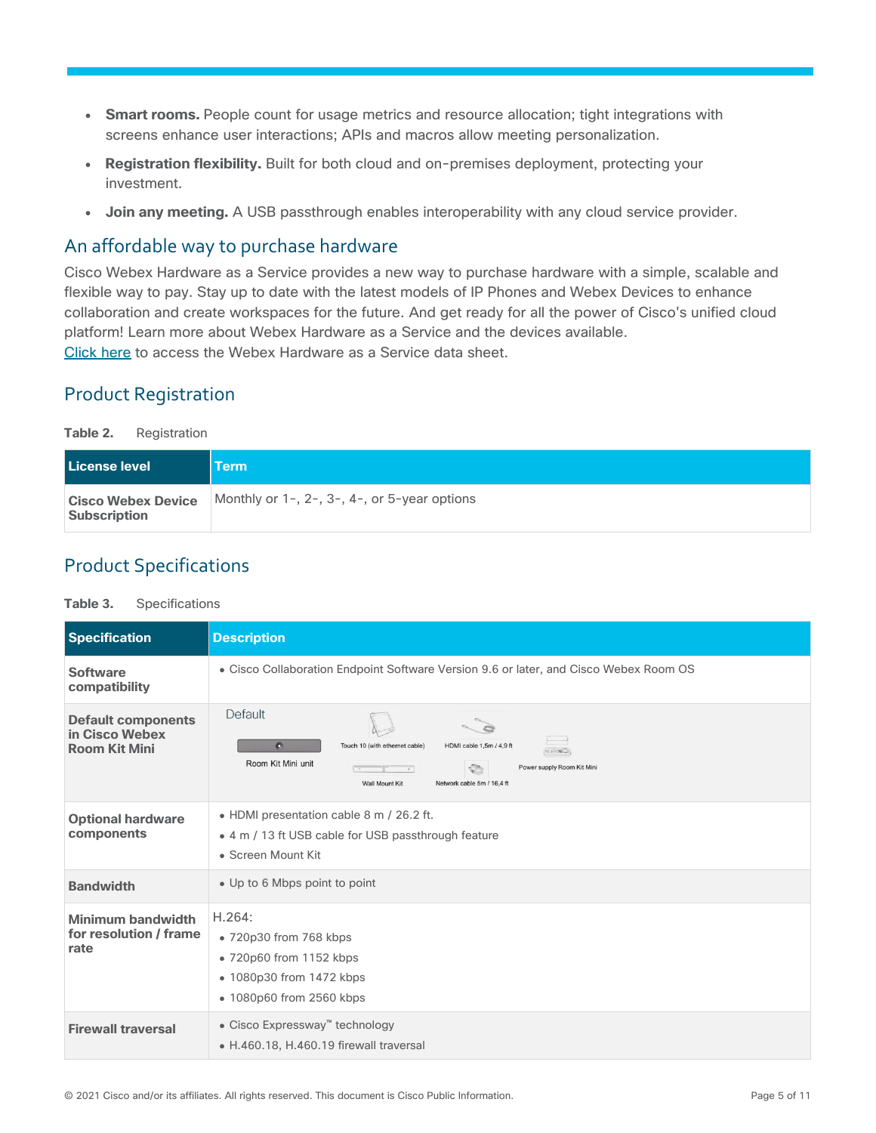- Smart rooms. People count for usage metrics and resource allocation; tight integrations with screens enhance user interactions; APIs and macros allow meeting personalization.
- **Registration flexibility.** Built for both cloud and on-premises deployment, protecting your investment.
- **Join any meeting.** A USB passthrough enables interoperability with any cloud service provider.

## An affordable way to purchase hardware

Cisco Webex Hardware as a Service provides a new way to purchase hardware with a simple, scalable and flexible way to pay. Stay up to date with the latest models of IP Phones and Webex Devices to enhance collaboration and create workspaces for the future. And get ready for all the power of Cisco's unified cloud platform! Learn more about Webex Hardware as a Service and the devices available. [Click here](https://www.cisco.com/c/en/us/products/collateral/unified-communications/webex-hardware-as-a-service/datasheet-c78-743057.html) to access the Webex Hardware as a Service data sheet.

## <span id="page-4-0"></span>Product Registration

**Table 2.** Registration

| <b>License level</b>                             | <b>Term</b>                                  |
|--------------------------------------------------|----------------------------------------------|
| <b>Cisco Webex Device</b><br><b>Subscription</b> | Monthly or 1-, 2-, 3-, 4-, or 5-year options |

## <span id="page-4-1"></span>Product Specifications

#### **Table 3.** Specifications

| <b>Specification</b>                                                | <b>Description</b>                                                                                                                                                                                                                  |
|---------------------------------------------------------------------|-------------------------------------------------------------------------------------------------------------------------------------------------------------------------------------------------------------------------------------|
| <b>Software</b><br>compatibility                                    | • Cisco Collaboration Endpoint Software Version 9.6 or later, and Cisco Webex Room OS                                                                                                                                               |
| <b>Default components</b><br>in Cisco Webex<br><b>Room Kit Mini</b> | Default<br>$\bullet$<br>Touch 10 (with ethernet cable)<br>HDMI cable 1,5m / 4,9 ft<br>en Enla<br>Room Kit Mini unit<br>Power supply Room Kit Mini<br>√ੋ<br>$\overline{\phantom{a}}$<br>Network cable 5m / 16.4 ft<br>Wall Mount Kit |
| <b>Optional hardware</b><br>components                              | • HDMI presentation cable 8 m / 26.2 ft.<br>• 4 m / 13 ft USB cable for USB passthrough feature<br>• Screen Mount Kit                                                                                                               |
| <b>Bandwidth</b>                                                    | • Up to 6 Mbps point to point                                                                                                                                                                                                       |
| Minimum bandwidth<br>for resolution / frame<br>rate                 | H.264:<br>• 720p30 from 768 kbps<br>• 720p60 from 1152 kbps<br>• 1080p30 from 1472 kbps<br>• 1080p60 from 2560 kbps                                                                                                                 |
| <b>Firewall traversal</b>                                           | • Cisco Expressway <sup>™</sup> technology<br>• H.460.18, H.460.19 firewall traversal                                                                                                                                               |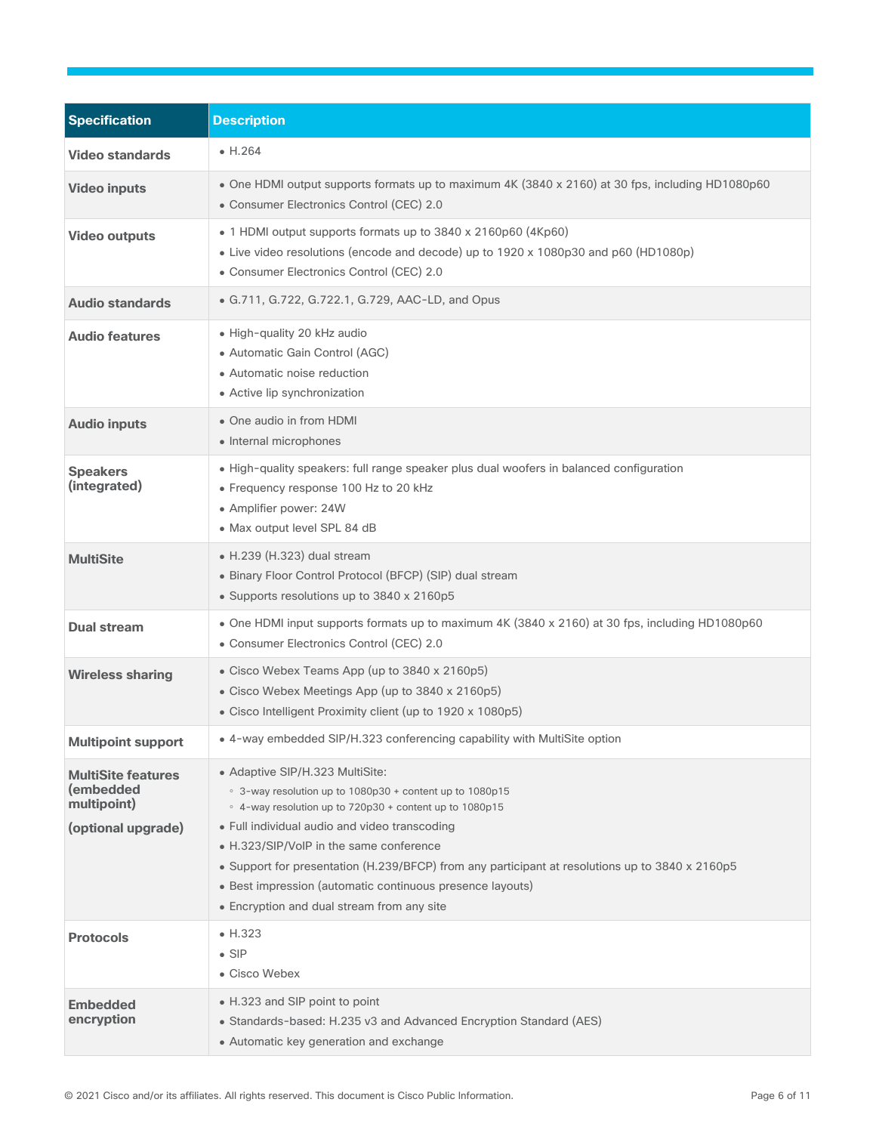| <b>Specification</b>                                                        | <b>Description</b>                                                                                                                                                                                                                                                                                                                                                                                                                                               |
|-----------------------------------------------------------------------------|------------------------------------------------------------------------------------------------------------------------------------------------------------------------------------------------------------------------------------------------------------------------------------------------------------------------------------------------------------------------------------------------------------------------------------------------------------------|
| <b>Video standards</b>                                                      | $\bullet$ H.264                                                                                                                                                                                                                                                                                                                                                                                                                                                  |
| <b>Video inputs</b>                                                         | • One HDMI output supports formats up to maximum 4K (3840 x 2160) at 30 fps, including HD1080p60<br>• Consumer Electronics Control (CEC) 2.0                                                                                                                                                                                                                                                                                                                     |
| <b>Video outputs</b>                                                        | • 1 HDMI output supports formats up to 3840 x 2160p60 (4Kp60)<br>• Live video resolutions (encode and decode) up to 1920 x 1080p30 and p60 (HD1080p)<br>• Consumer Electronics Control (CEC) 2.0                                                                                                                                                                                                                                                                 |
| <b>Audio standards</b>                                                      | • G.711, G.722, G.722.1, G.729, AAC-LD, and Opus                                                                                                                                                                                                                                                                                                                                                                                                                 |
| <b>Audio features</b>                                                       | · High-quality 20 kHz audio<br>• Automatic Gain Control (AGC)<br>• Automatic noise reduction<br>• Active lip synchronization                                                                                                                                                                                                                                                                                                                                     |
| <b>Audio inputs</b>                                                         | • One audio in from HDMI<br>• Internal microphones                                                                                                                                                                                                                                                                                                                                                                                                               |
| <b>Speakers</b><br>(integrated)                                             | • High-quality speakers: full range speaker plus dual woofers in balanced configuration<br>• Frequency response 100 Hz to 20 kHz<br>• Amplifier power: 24W<br>• Max output level SPL 84 dB                                                                                                                                                                                                                                                                       |
| <b>MultiSite</b>                                                            | $\bullet$ H.239 (H.323) dual stream<br>• Binary Floor Control Protocol (BFCP) (SIP) dual stream<br>• Supports resolutions up to 3840 x 2160p5                                                                                                                                                                                                                                                                                                                    |
| <b>Dual stream</b>                                                          | • One HDMI input supports formats up to maximum 4K (3840 x 2160) at 30 fps, including HD1080p60<br>• Consumer Electronics Control (CEC) 2.0                                                                                                                                                                                                                                                                                                                      |
| <b>Wireless sharing</b>                                                     | • Cisco Webex Teams App (up to 3840 x 2160p5)<br>• Cisco Webex Meetings App (up to 3840 x 2160p5)<br>• Cisco Intelligent Proximity client (up to 1920 x 1080p5)                                                                                                                                                                                                                                                                                                  |
| <b>Multipoint support</b>                                                   | • 4-way embedded SIP/H.323 conferencing capability with MultiSite option                                                                                                                                                                                                                                                                                                                                                                                         |
| <b>MultiSite features</b><br>(embedded<br>multipoint)<br>(optional upgrade) | • Adaptive SIP/H.323 MultiSite:<br>• 3-way resolution up to 1080p30 + content up to 1080p15<br>○ 4-way resolution up to 720p30 + content up to 1080p15<br>• Full individual audio and video transcoding<br>• H.323/SIP/VoIP in the same conference<br>• Support for presentation (H.239/BFCP) from any participant at resolutions up to 3840 x 2160p5<br>• Best impression (automatic continuous presence layouts)<br>• Encryption and dual stream from any site |
| <b>Protocols</b>                                                            | $\bullet$ H.323<br>$\bullet$ SIP<br>• Cisco Webex                                                                                                                                                                                                                                                                                                                                                                                                                |
| <b>Embedded</b><br>encryption                                               | • H.323 and SIP point to point<br>• Standards-based: H.235 v3 and Advanced Encryption Standard (AES)<br>• Automatic key generation and exchange                                                                                                                                                                                                                                                                                                                  |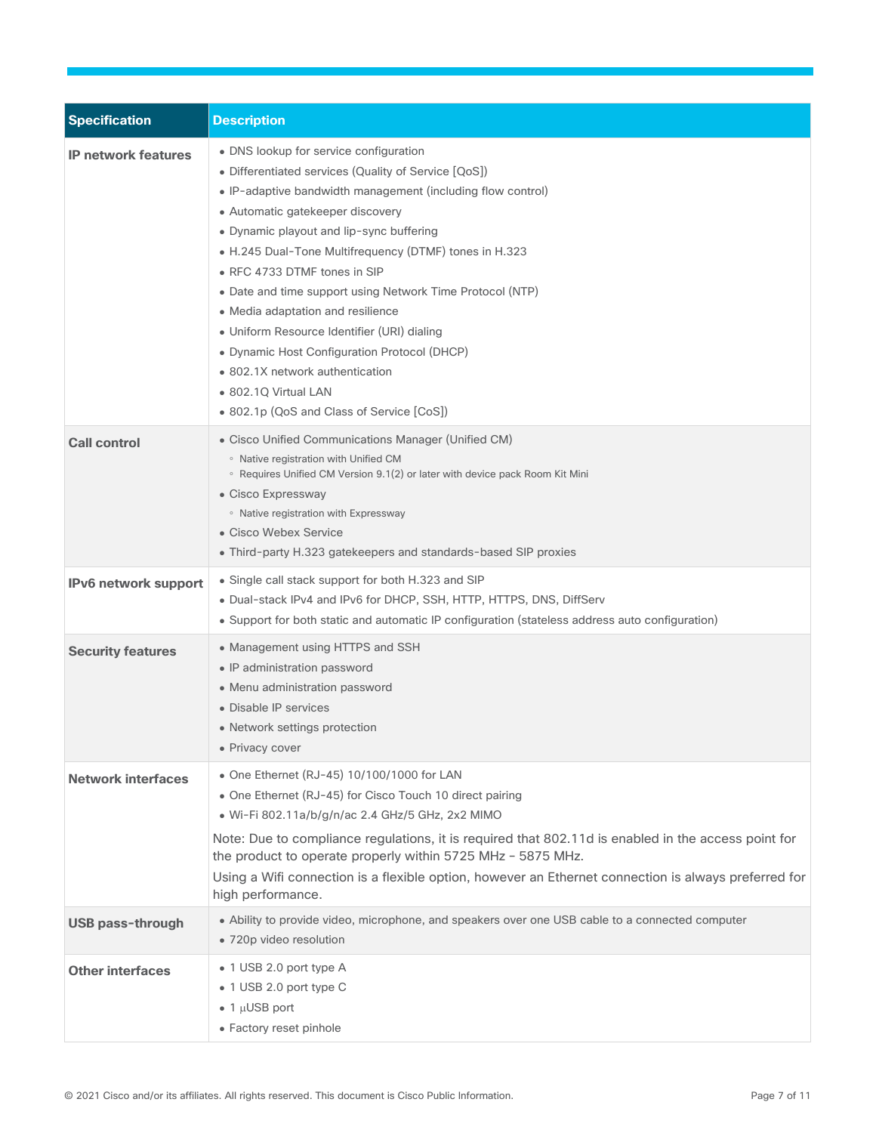| <b>Specification</b>       | <b>Description</b>                                                                                                                                                                                                                                                                                                                                                                                                                                                                                                                                                                                                                               |
|----------------------------|--------------------------------------------------------------------------------------------------------------------------------------------------------------------------------------------------------------------------------------------------------------------------------------------------------------------------------------------------------------------------------------------------------------------------------------------------------------------------------------------------------------------------------------------------------------------------------------------------------------------------------------------------|
| <b>IP network features</b> | • DNS lookup for service configuration<br>• Differentiated services (Quality of Service [QoS])<br>• IP-adaptive bandwidth management (including flow control)<br>• Automatic gatekeeper discovery<br>• Dynamic playout and lip-sync buffering<br>• H.245 Dual-Tone Multifrequency (DTMF) tones in H.323<br>• RFC 4733 DTMF tones in SIP<br>• Date and time support using Network Time Protocol (NTP)<br>• Media adaptation and resilience<br>• Uniform Resource Identifier (URI) dialing<br>• Dynamic Host Configuration Protocol (DHCP)<br>• 802.1X network authentication<br>• 802.1Q Virtual LAN<br>• 802.1p (QoS and Class of Service [CoS]) |
| <b>Call control</b>        | • Cisco Unified Communications Manager (Unified CM)<br>• Native registration with Unified CM<br>∘ Requires Unified CM Version 9.1(2) or later with device pack Room Kit Mini<br>• Cisco Expressway<br>• Native registration with Expressway<br>• Cisco Webex Service<br>• Third-party H.323 gatekeepers and standards-based SIP proxies                                                                                                                                                                                                                                                                                                          |
| IPv6 network support       | • Single call stack support for both H.323 and SIP<br>. Dual-stack IPv4 and IPv6 for DHCP, SSH, HTTP, HTTPS, DNS, DiffServ<br>• Support for both static and automatic IP configuration (stateless address auto configuration)                                                                                                                                                                                                                                                                                                                                                                                                                    |
| <b>Security features</b>   | • Management using HTTPS and SSH<br>• IP administration password<br>• Menu administration password<br>• Disable IP services<br>• Network settings protection<br>• Privacy cover                                                                                                                                                                                                                                                                                                                                                                                                                                                                  |
| <b>Network interfaces</b>  | • One Ethernet (RJ-45) 10/100/1000 for LAN<br>• One Ethernet (RJ-45) for Cisco Touch 10 direct pairing<br>· Wi-Fi 802.11a/b/g/n/ac 2.4 GHz/5 GHz, 2x2 MIMO<br>Note: Due to compliance regulations, it is required that 802.11d is enabled in the access point for<br>the product to operate properly within 5725 MHz - 5875 MHz.<br>Using a Wifi connection is a flexible option, however an Ethernet connection is always preferred for<br>high performance.                                                                                                                                                                                    |
| <b>USB pass-through</b>    | • Ability to provide video, microphone, and speakers over one USB cable to a connected computer<br>• 720p video resolution                                                                                                                                                                                                                                                                                                                                                                                                                                                                                                                       |
| <b>Other interfaces</b>    | • 1 USB 2.0 port type A<br>• 1 USB 2.0 port type C<br>$\bullet$ 1 µUSB port<br>• Factory reset pinhole                                                                                                                                                                                                                                                                                                                                                                                                                                                                                                                                           |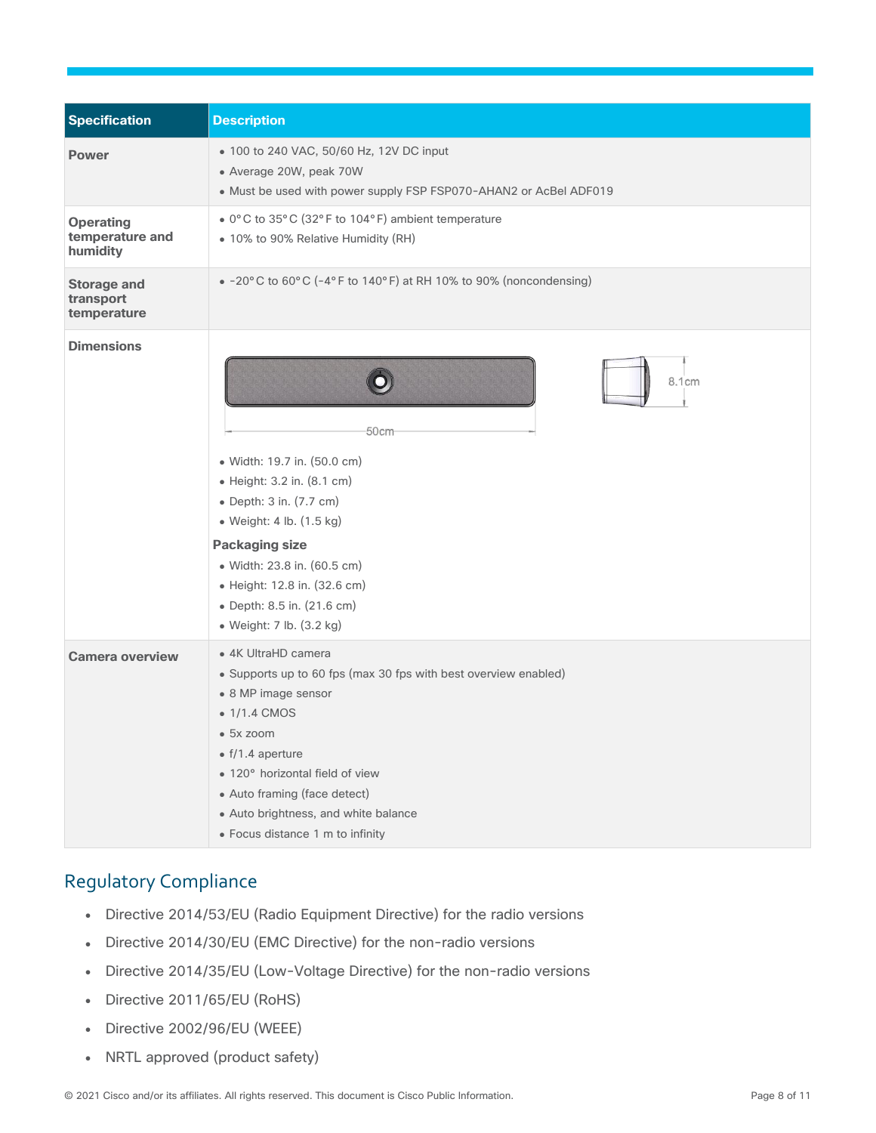| <b>Specification</b>                            | <b>Description</b>                                                                                                                                                                                                                                                                                                    |
|-------------------------------------------------|-----------------------------------------------------------------------------------------------------------------------------------------------------------------------------------------------------------------------------------------------------------------------------------------------------------------------|
| <b>Power</b>                                    | • 100 to 240 VAC, 50/60 Hz, 12V DC input<br>• Average 20W, peak 70W<br>• Must be used with power supply FSP FSP070-AHAN2 or AcBel ADF019                                                                                                                                                                              |
| <b>Operating</b><br>temperature and<br>humidity | • 0°C to 35°C (32°F to 104°F) ambient temperature<br>• 10% to 90% Relative Humidity (RH)                                                                                                                                                                                                                              |
| <b>Storage and</b><br>transport<br>temperature  | $\bullet$ -20°C to 60°C (-4°F to 140°F) at RH 10% to 90% (noncondensing)                                                                                                                                                                                                                                              |
| <b>Dimensions</b>                               | 8.1cm<br>50cm<br>· Width: 19.7 in. (50.0 cm)<br>• Height: 3.2 in. (8.1 cm)<br>• Depth: 3 in. (7.7 cm)<br>· Weight: 4 lb. (1.5 kg)<br><b>Packaging size</b><br>· Width: 23.8 in. (60.5 cm)<br>• Height: 12.8 in. (32.6 cm)<br>• Depth: 8.5 in. (21.6 cm)<br>• Weight: 7 lb. (3.2 kg)                                   |
| <b>Camera overview</b>                          | • 4K UltraHD camera<br>• Supports up to 60 fps (max 30 fps with best overview enabled)<br>• 8 MP image sensor<br>• 1/1.4 CMOS<br>• 5x zoom<br>$\bullet$ f/1.4 aperture<br>• 120° horizontal field of view<br>• Auto framing (face detect)<br>• Auto brightness, and white balance<br>• Focus distance 1 m to infinity |

## <span id="page-7-0"></span>Regulatory Compliance

- Directive 2014/53/EU (Radio Equipment Directive) for the radio versions
- Directive 2014/30/EU (EMC Directive) for the non-radio versions
- Directive 2014/35/EU (Low-Voltage Directive) for the non-radio versions
- Directive 2011/65/EU (RoHS)
- Directive 2002/96/EU (WEEE)
- NRTL approved (product safety)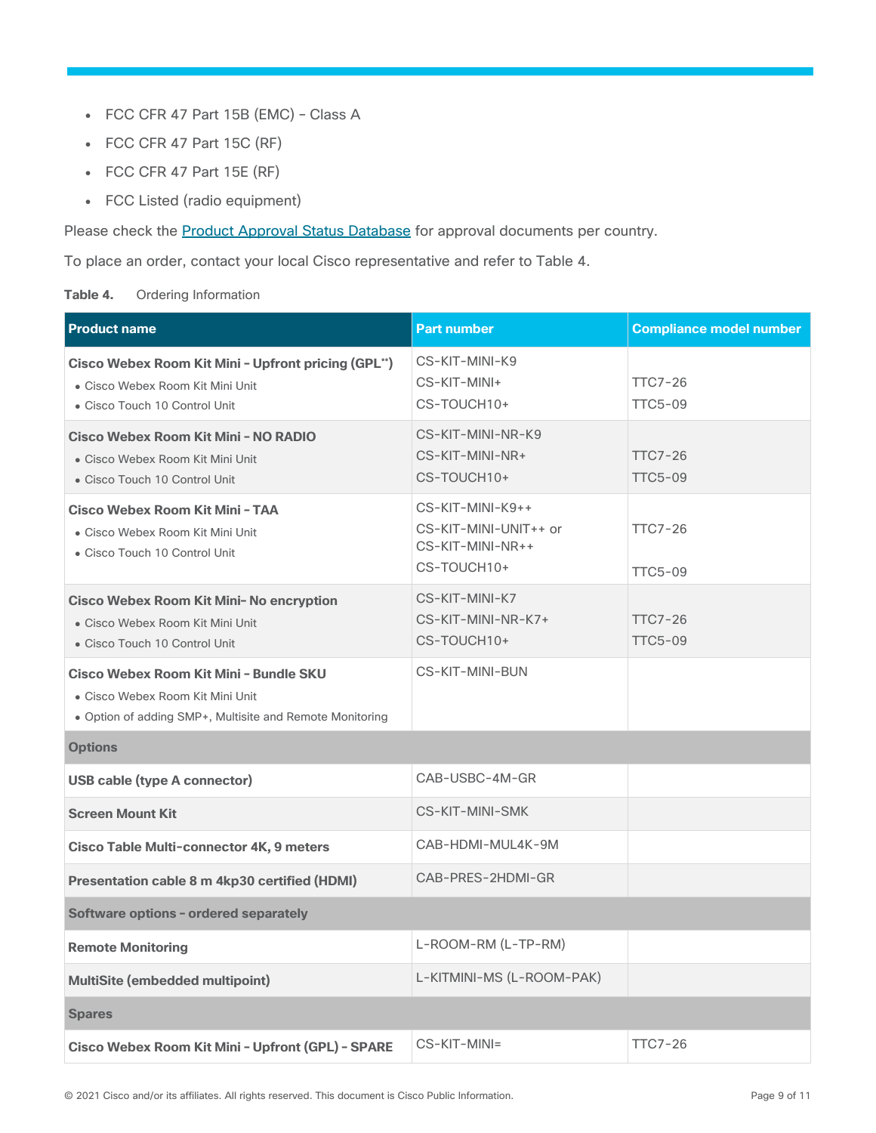- FCC CFR 47 Part 15B (EMC) Class A
- FCC CFR 47 Part 15C (RF)
- FCC CFR 47 Part 15E (RF)
- FCC Listed (radio equipment)

Please check the **Product Approval Status Database** for approval documents per country.

To place an order, contact your local Cisco representative and refer to Table 4.

#### Table 4. Ordering Information

| <b>Product name</b>                                                                                                                    | <b>Part number</b>                                                           | <b>Compliance model number</b>   |
|----------------------------------------------------------------------------------------------------------------------------------------|------------------------------------------------------------------------------|----------------------------------|
| Cisco Webex Room Kit Mini - Upfront pricing (GPL")<br>• Cisco Webex Room Kit Mini Unit<br>• Cisco Touch 10 Control Unit                | CS-KIT-MINI-K9<br>CS-KIT-MINI+<br>CS-TOUCH10+                                | <b>TTC7-26</b><br><b>TTC5-09</b> |
| Cisco Webex Room Kit Mini - NO RADIO<br>• Cisco Webex Room Kit Mini Unit<br>• Cisco Touch 10 Control Unit                              | CS-KIT-MINI-NR-K9<br>CS-KIT-MINI-NR+<br>CS-TOUCH10+                          | <b>TTC7-26</b><br><b>TTC5-09</b> |
| Cisco Webex Room Kit Mini - TAA<br>• Cisco Webex Room Kit Mini Unit<br>• Cisco Touch 10 Control Unit                                   | CS-KIT-MINI-K9++<br>CS-KIT-MINI-UNIT++ or<br>CS-KIT-MINI-NR++<br>CS-TOUCH10+ | <b>TTC7-26</b><br><b>TTC5-09</b> |
| Cisco Webex Room Kit Mini- No encryption<br>· Cisco Webex Room Kit Mini Unit<br>• Cisco Touch 10 Control Unit                          | CS-KIT-MINI-K7<br>CS-KIT-MINI-NR-K7+<br>CS-TOUCH10+                          | <b>TTC7-26</b><br><b>TTC5-09</b> |
| Cisco Webex Room Kit Mini - Bundle SKU<br>• Cisco Webex Room Kit Mini Unit<br>• Option of adding SMP+, Multisite and Remote Monitoring | CS-KIT-MINI-BUN                                                              |                                  |
| <b>Options</b>                                                                                                                         |                                                                              |                                  |
| <b>USB cable (type A connector)</b>                                                                                                    | CAB-USBC-4M-GR                                                               |                                  |
| <b>Screen Mount Kit</b>                                                                                                                | CS-KIT-MINI-SMK                                                              |                                  |
| <b>Cisco Table Multi-connector 4K, 9 meters</b>                                                                                        | CAB-HDMI-MUL4K-9M                                                            |                                  |
| Presentation cable 8 m 4kp30 certified (HDMI)                                                                                          | CAB-PRES-2HDMI-GR                                                            |                                  |
| Software options - ordered separately                                                                                                  |                                                                              |                                  |
| <b>Remote Monitoring</b>                                                                                                               | L-ROOM-RM (L-TP-RM)                                                          |                                  |
| MultiSite (embedded multipoint)                                                                                                        | L-KITMINI-MS (L-ROOM-PAK)                                                    |                                  |
| <b>Spares</b>                                                                                                                          |                                                                              |                                  |
| Cisco Webex Room Kit Mini - Upfront (GPL) - SPARE                                                                                      | CS-KIT-MINI=                                                                 | <b>TTC7-26</b>                   |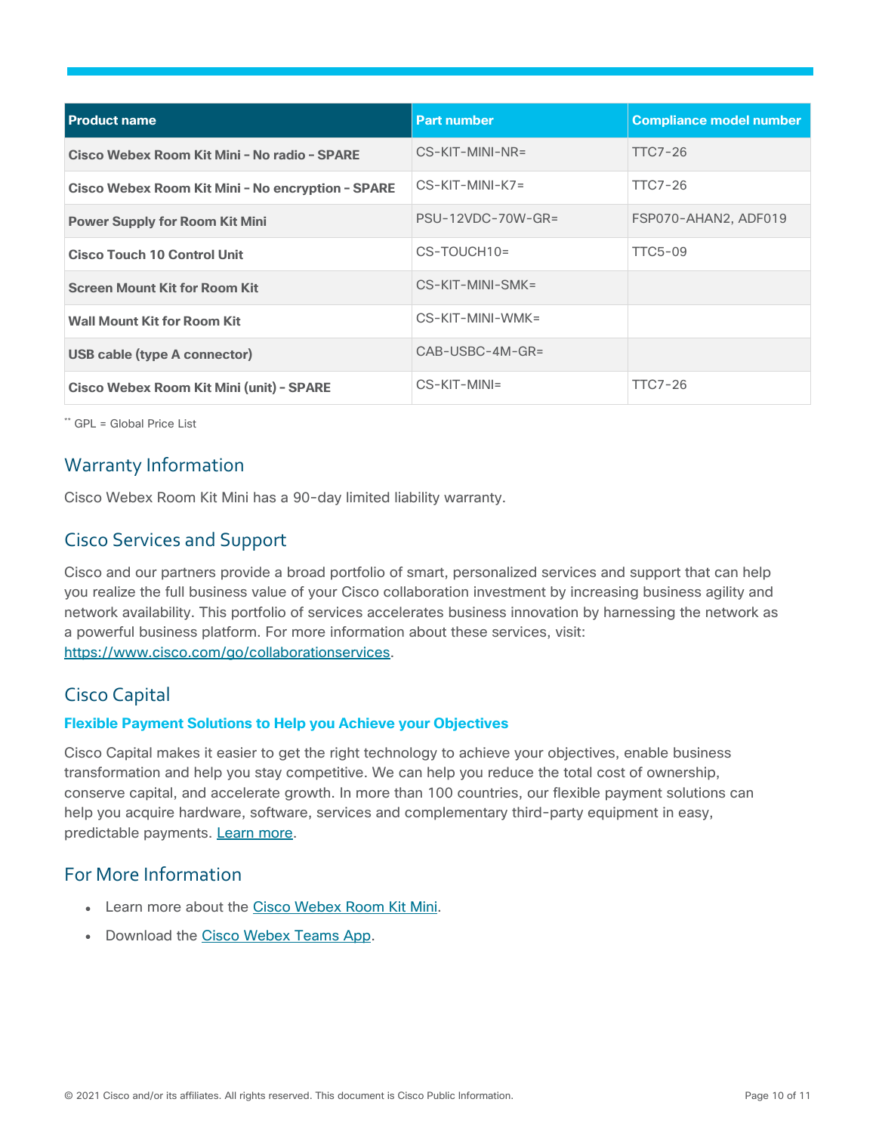| <b>Product name</b>                               | <b>Part number</b>  | <b>Compliance model number</b> |
|---------------------------------------------------|---------------------|--------------------------------|
| Cisco Webex Room Kit Mini - No radio - SPARE      | CS-KIT-MINI-NR=     | TTC7-26                        |
| Cisco Webex Room Kit Mini - No encryption - SPARE | $CS-KIT-MINI-K7=$   | TTC7-26                        |
| <b>Power Supply for Room Kit Mini</b>             | $PSU-12VDC-70W-GR=$ | FSP070-AHAN2, ADF019           |
| <b>Cisco Touch 10 Control Unit</b>                | $CS$ -TOUCH10=      | <b>TTC5-09</b>                 |
| <b>Screen Mount Kit for Room Kit</b>              | CS-KIT-MINI-SMK=    |                                |
| <b>Wall Mount Kit for Room Kit</b>                | CS-KIT-MINI-WMK=    |                                |
| <b>USB cable (type A connector)</b>               | $CAB-USBC-4M-GR=$   |                                |
| <b>Cisco Webex Room Kit Mini (unit) - SPARE</b>   | $CS-KIT-MINI=$      | <b>TTC7-26</b>                 |

\*\* GPL = Global Price List

## <span id="page-9-0"></span>Warranty Information

Cisco Webex Room Kit Mini has a 90-day limited liability warranty.

## <span id="page-9-1"></span>Cisco Services and Support

Cisco and our partners provide a broad portfolio of smart, personalized services and support that can help you realize the full business value of your Cisco collaboration investment by increasing business agility and network availability. This portfolio of services accelerates business innovation by harnessing the network as a powerful business platform. For more information about these services, visit: [https://www.cisco.com/go/collaborationservices.](https://www.cisco.com/go/collaborationservices)

## <span id="page-9-2"></span>Cisco Capital

#### **Flexible Payment Solutions to Help you Achieve your Objectives**

Cisco Capital makes it easier to get the right technology to achieve your objectives, enable business transformation and help you stay competitive. We can help you reduce the total cost of ownership, conserve capital, and accelerate growth. In more than 100 countries, our flexible payment solutions can help you acquire hardware, software, services and complementary third-party equipment in easy, predictable payments. [Learn more.](https://www.cisco.com/go/financing)

### <span id="page-9-3"></span>For More Information

- Learn more about the [Cisco Webex Room Kit Mini.](https://www.cisco.com/go/roomkit)
- Download the [Cisco Webex Teams App.](https://www.ciscospark.com/downloads.html)